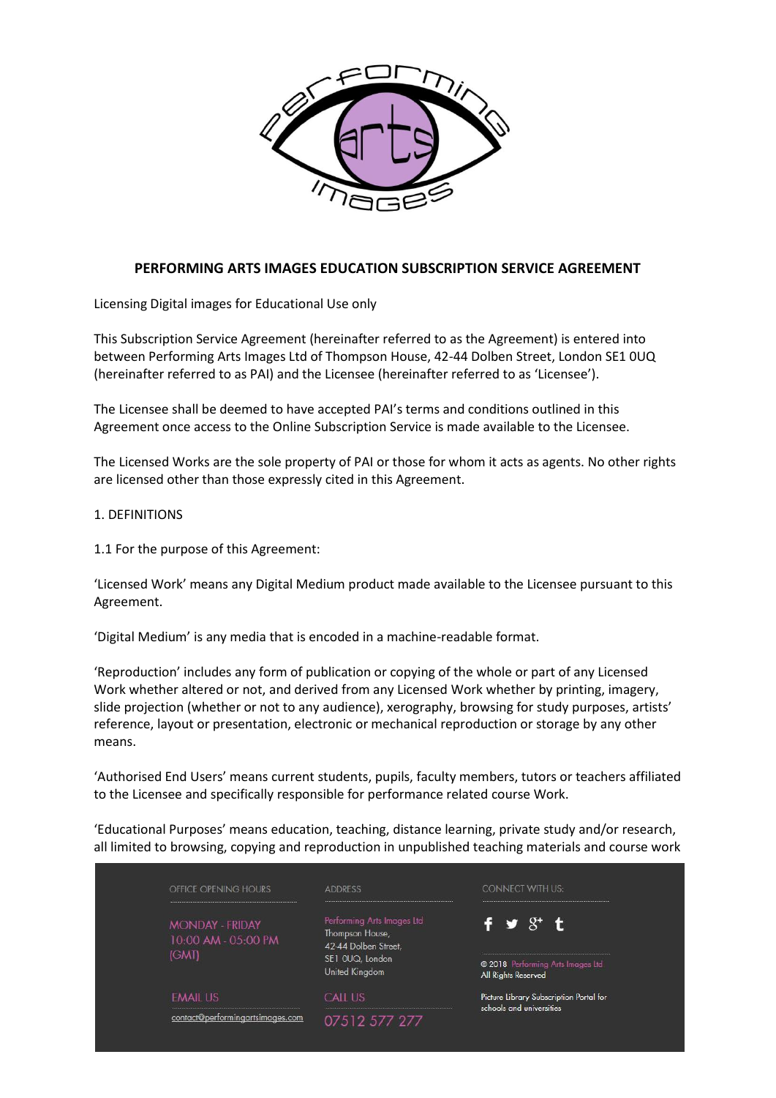

# **PERFORMING ARTS IMAGES EDUCATION SUBSCRIPTION SERVICE AGREEMENT**

Licensing Digital images for Educational Use only

This Subscription Service Agreement (hereinafter referred to as the Agreement) is entered into between Performing Arts Images Ltd of Thompson House, 42-44 Dolben Street, London SE1 0UQ (hereinafter referred to as PAI) and the Licensee (hereinafter referred to as 'Licensee').

The Licensee shall be deemed to have accepted PAI's terms and conditions outlined in this Agreement once access to the Online Subscription Service is made available to the Licensee.

The Licensed Works are the sole property of PAI or those for whom it acts as agents. No other rights are licensed other than those expressly cited in this Agreement.

#### 1. DEFINITIONS

1.1 For the purpose of this Agreement:

'Licensed Work' means any Digital Medium product made available to the Licensee pursuant to this Agreement.

'Digital Medium' is any media that is encoded in a machine-readable format.

'Reproduction' includes any form of publication or copying of the whole or part of any Licensed Work whether altered or not, and derived from any Licensed Work whether by printing, imagery, slide projection (whether or not to any audience), xerography, browsing for study purposes, artists' reference, layout or presentation, electronic or mechanical reproduction or storage by any other means.

'Authorised End Users' means current students, pupils, faculty members, tutors or teachers affiliated to the Licensee and specifically responsible for performance related course Work.

'Educational Purposes' means education, teaching, distance learning, private study and/or research, all limited to browsing, copying and reproduction in unpublished teaching materials and course work

| OFFICE OPENING HOURS                                         | <b>ADDRESS</b>                                                                                             | <b>CONNECT WITH US:</b>                                                    |
|--------------------------------------------------------------|------------------------------------------------------------------------------------------------------------|----------------------------------------------------------------------------|
| <b>MONDAY - FRIDAY</b><br>10:00 AM - 05:00 PM<br><b>IGMT</b> | Performing Arts Images Ltd<br>Thompson House,<br>42-44 Dolben Street,<br>SE1 OUQ, London<br>United Kingdom | $f \times S^+ t$<br>2018 Performing Arts Images Ltd<br>All Rights Reserved |
| <b>EMAIL US</b>                                              | <b>CALL US</b>                                                                                             | Picture Library Subscription Portal for<br>schools and universities        |
| contact@performingartsimages.com                             | 07512 577 277                                                                                              |                                                                            |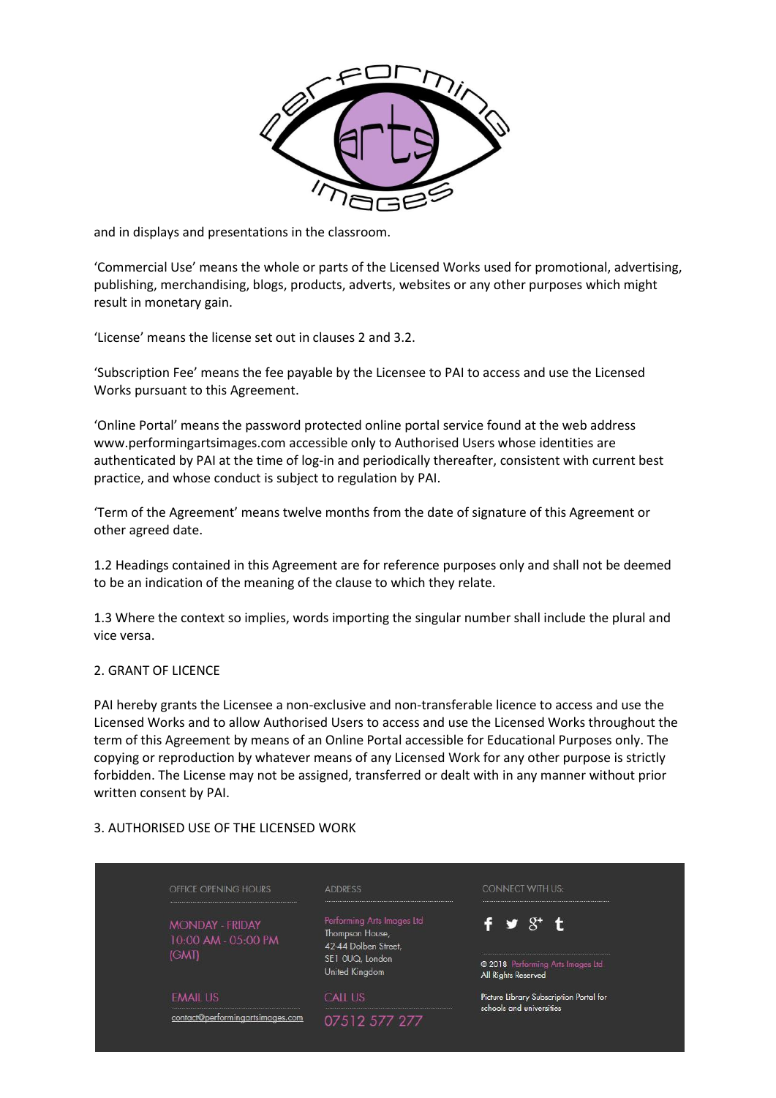

and in displays and presentations in the classroom.

'Commercial Use' means the whole or parts of the Licensed Works used for promotional, advertising, publishing, merchandising, blogs, products, adverts, websites or any other purposes which might result in monetary gain.

'License' means the license set out in clauses 2 and 3.2.

'Subscription Fee' means the fee payable by the Licensee to PAI to access and use the Licensed Works pursuant to this Agreement.

'Online Portal' means the password protected online portal service found at the web address www.performingartsimages.com accessible only to Authorised Users whose identities are authenticated by PAI at the time of log-in and periodically thereafter, consistent with current best practice, and whose conduct is subject to regulation by PAI.

'Term of the Agreement' means twelve months from the date of signature of this Agreement or other agreed date.

1.2 Headings contained in this Agreement are for reference purposes only and shall not be deemed to be an indication of the meaning of the clause to which they relate.

1.3 Where the context so implies, words importing the singular number shall include the plural and vice versa.

### 2. GRANT OF LICENCE

PAI hereby grants the Licensee a non-exclusive and non-transferable licence to access and use the Licensed Works and to allow Authorised Users to access and use the Licensed Works throughout the term of this Agreement by means of an Online Portal accessible for Educational Purposes only. The copying or reproduction by whatever means of any Licensed Work for any other purpose is strictly forbidden. The License may not be assigned, transferred or dealt with in any manner without prior written consent by PAI.

### 3. AUTHORISED USE OF THE LICENSED WORK

| OFFICE OPENING HOURS                                   | <b>ADDRESS</b>                                                                                             | <b>CONNECT WITH US:</b>                                                   |
|--------------------------------------------------------|------------------------------------------------------------------------------------------------------------|---------------------------------------------------------------------------|
| <b>MONDAY - FRIDAY</b><br>10:00 AM - 05:00 PM<br>(GMT) | Performing Arts Images Ltd<br>Thompson House,<br>42-44 Dolben Street,<br>SE1 OUQ, London<br>United Kingdom | $f \times S'$ t<br>2018 Performing Arts Images Ltd<br>All Rights Reserved |
| <b>EMAIL US</b>                                        | <b>CALL US</b>                                                                                             | Picture Library Subscription Portal for                                   |
| contact@performingartsimages.com                       | 07512 577 277                                                                                              | schools and universities                                                  |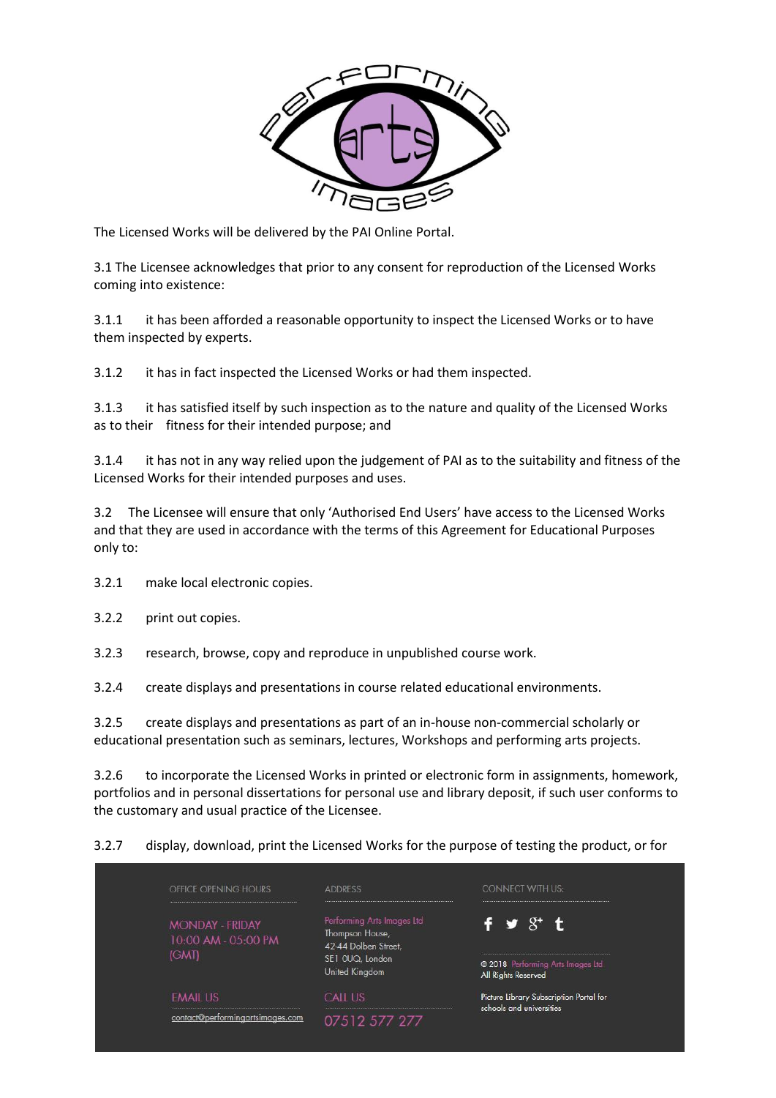

The Licensed Works will be delivered by the PAI Online Portal.

3.1 The Licensee acknowledges that prior to any consent for reproduction of the Licensed Works coming into existence:

3.1.1 it has been afforded a reasonable opportunity to inspect the Licensed Works or to have them inspected by experts.

3.1.2 it has in fact inspected the Licensed Works or had them inspected.

3.1.3 it has satisfied itself by such inspection as to the nature and quality of the Licensed Works as to their fitness for their intended purpose; and

3.1.4 it has not in any way relied upon the judgement of PAI as to the suitability and fitness of the Licensed Works for their intended purposes and uses.

3.2 The Licensee will ensure that only 'Authorised End Users' have access to the Licensed Works and that they are used in accordance with the terms of this Agreement for Educational Purposes only to:

- 3.2.1 make local electronic copies.
- 3.2.2 print out copies.
- 3.2.3 research, browse, copy and reproduce in unpublished course work.

3.2.4 create displays and presentations in course related educational environments.

3.2.5 create displays and presentations as part of an in-house non-commercial scholarly or educational presentation such as seminars, lectures, Workshops and performing arts projects.

3.2.6 to incorporate the Licensed Works in printed or electronic form in assignments, homework, portfolios and in personal dissertations for personal use and library deposit, if such user conforms to the customary and usual practice of the Licensee.

### 3.2.7 display, download, print the Licensed Works for the purpose of testing the product, or for

| OFFICE OPENING HOURS                                         | <b>ADDRESS</b>                                                                                             | <b>CONNECT WITH US:</b>                                                                    |
|--------------------------------------------------------------|------------------------------------------------------------------------------------------------------------|--------------------------------------------------------------------------------------------|
| <b>MONDAY - FRIDAY</b><br>10:00 AM - 05:00 PM<br><b>IGMT</b> | Performing Arts Images Ltd<br>Thompson House,<br>42-44 Dolben Street,<br>SE1 OUQ, London<br>United Kingdom | f $\mathbf{y}$ $\mathcal{S}^+$ t<br>2018 Performing Arts Images Ltd<br>All Rights Reserved |
| <b>EMAIL US</b>                                              | <b>CALL US</b>                                                                                             | Picture Library Subscription Portal for<br>schools and universities                        |
| contact@performingartsimages.com                             | 07512 577 277                                                                                              |                                                                                            |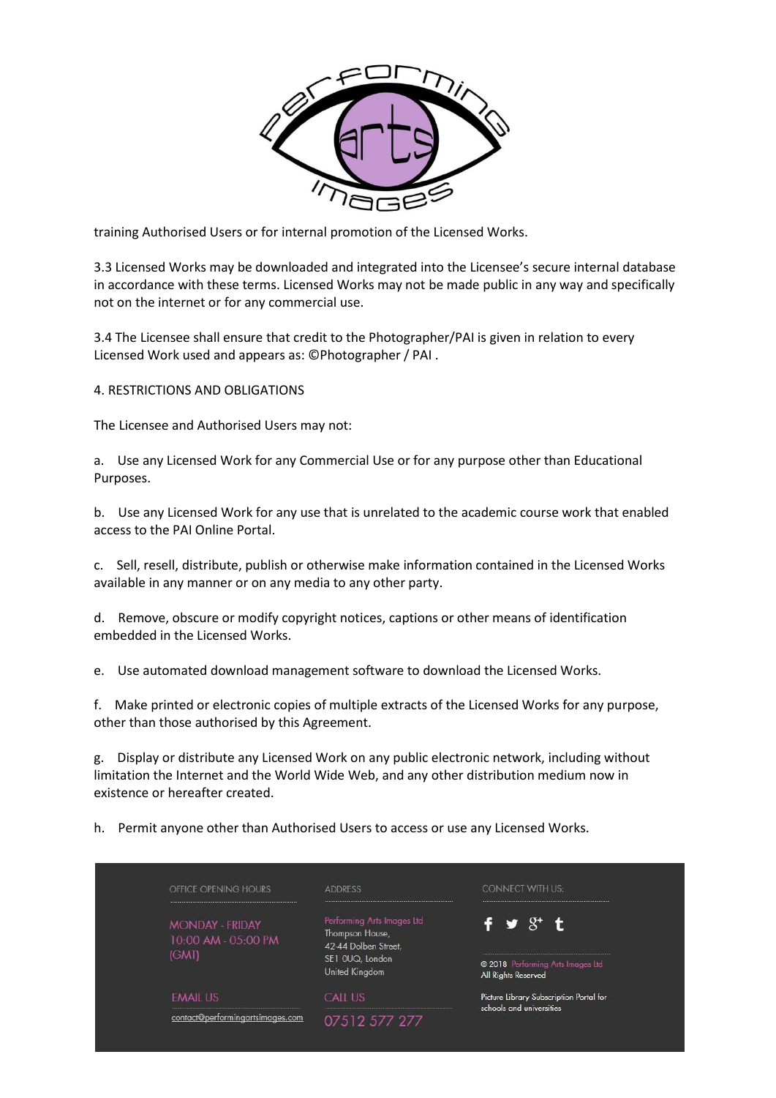

training Authorised Users or for internal promotion of the Licensed Works.

3.3 Licensed Works may be downloaded and integrated into the Licensee's secure internal database in accordance with these terms. Licensed Works may not be made public in any way and specifically not on the internet or for any commercial use.

3.4 The Licensee shall ensure that credit to the Photographer/PAI is given in relation to every Licensed Work used and appears as: ©Photographer / PAI .

4. RESTRICTIONS AND OBLIGATIONS

The Licensee and Authorised Users may not:

a. Use any Licensed Work for any Commercial Use or for any purpose other than Educational Purposes.

b. Use any Licensed Work for any use that is unrelated to the academic course work that enabled access to the PAI Online Portal.

c. Sell, resell, distribute, publish or otherwise make information contained in the Licensed Works available in any manner or on any media to any other party.

d. Remove, obscure or modify copyright notices, captions or other means of identification embedded in the Licensed Works.

e. Use automated download management software to download the Licensed Works.

f. Make printed or electronic copies of multiple extracts of the Licensed Works for any purpose, other than those authorised by this Agreement.

g. Display or distribute any Licensed Work on any public electronic network, including without limitation the Internet and the World Wide Web, and any other distribution medium now in existence or hereafter created.

h. Permit anyone other than Authorised Users to access or use any Licensed Works.

| OFFICE OPENING HOURS                                   | <b>ADDRESS</b>                                                                                             | <b>CONNECT WITH US:</b>                                                   |
|--------------------------------------------------------|------------------------------------------------------------------------------------------------------------|---------------------------------------------------------------------------|
| <b>MONDAY - FRIDAY</b><br>10:00 AM - 05:00 PM<br>(GMT) | Performing Arts Images Ltd<br>Thompson House,<br>42-44 Dolben Street,<br>SE1 OUQ, London<br>United Kingdom | $f \times S'$ t<br>2018 Performing Arts Images Ltd<br>All Rights Reserved |
| <b>EMAIL US</b>                                        | CALL US                                                                                                    | Picture Library Subscription Portal for                                   |
| contact@performingartsimages.com                       | 07512 577 277                                                                                              | schools and universities                                                  |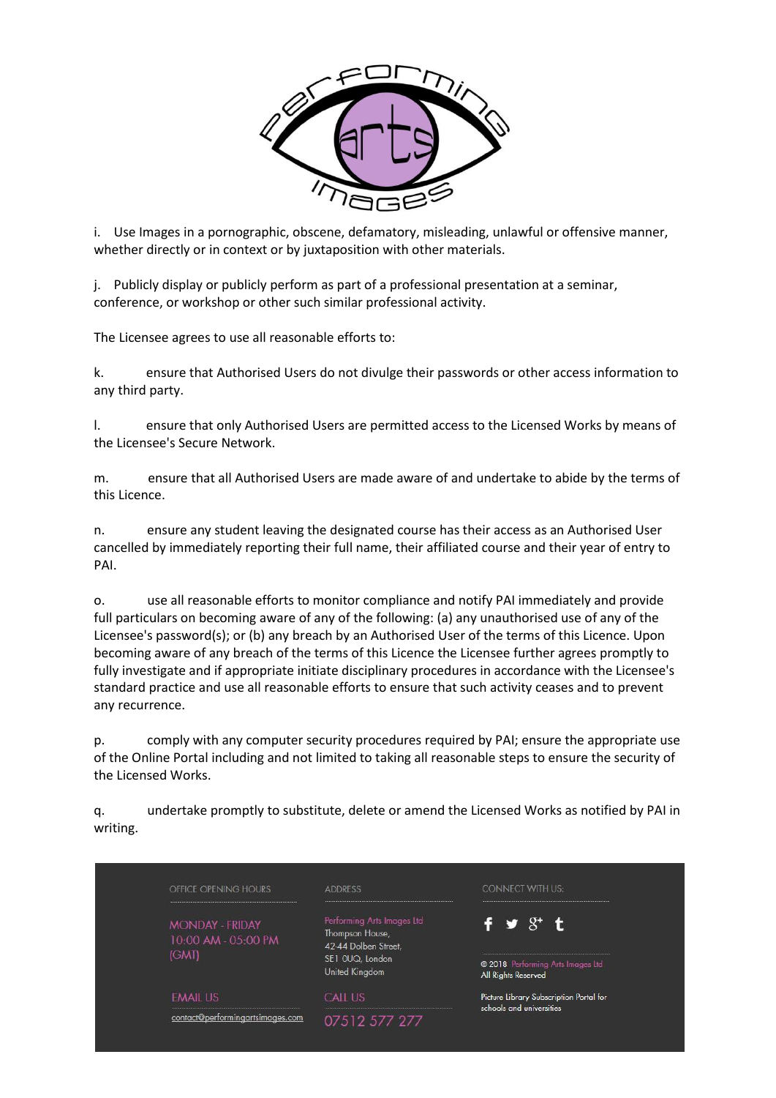

i. Use Images in a pornographic, obscene, defamatory, misleading, unlawful or offensive manner, whether directly or in context or by juxtaposition with other materials.

j. Publicly display or publicly perform as part of a professional presentation at a seminar, conference, or workshop or other such similar professional activity.

The Licensee agrees to use all reasonable efforts to:

k. ensure that Authorised Users do not divulge their passwords or other access information to any third party.

l. ensure that only Authorised Users are permitted access to the Licensed Works by means of the Licensee's Secure Network.

m. ensure that all Authorised Users are made aware of and undertake to abide by the terms of this Licence.

n. ensure any student leaving the designated course has their access as an Authorised User cancelled by immediately reporting their full name, their affiliated course and their year of entry to PAI.

o. use all reasonable efforts to monitor compliance and notify PAI immediately and provide full particulars on becoming aware of any of the following: (a) any unauthorised use of any of the Licensee's password(s); or (b) any breach by an Authorised User of the terms of this Licence. Upon becoming aware of any breach of the terms of this Licence the Licensee further agrees promptly to fully investigate and if appropriate initiate disciplinary procedures in accordance with the Licensee's standard practice and use all reasonable efforts to ensure that such activity ceases and to prevent any recurrence.

p. comply with any computer security procedures required by PAI; ensure the appropriate use of the Online Portal including and not limited to taking all reasonable steps to ensure the security of the Licensed Works.

q. undertake promptly to substitute, delete or amend the Licensed Works as notified by PAI in writing.

| OFFICE OPENING HOURS                                   | <b>ADDRESS</b>                                                                                             | <b>CONNECT WITH US:</b>                                            |
|--------------------------------------------------------|------------------------------------------------------------------------------------------------------------|--------------------------------------------------------------------|
| <b>MONDAY - FRIDAY</b><br>10:00 AM - 05:00 PM<br>(GMT) | Performing Arts Images Ltd<br>Thompson House,<br>42-44 Dolben Street,<br>SE1 OUQ, London<br>United Kingdom | f ≫ 8t t<br>2018 Performing Arts Images Ltd<br>All Rights Reserved |
| <b>EMAIL US</b>                                        | <b>CALL US</b>                                                                                             | Picture Library Subscription Portal for                            |
| contact@performingartsimages.com                       | 07512 577 277                                                                                              | schools and universities                                           |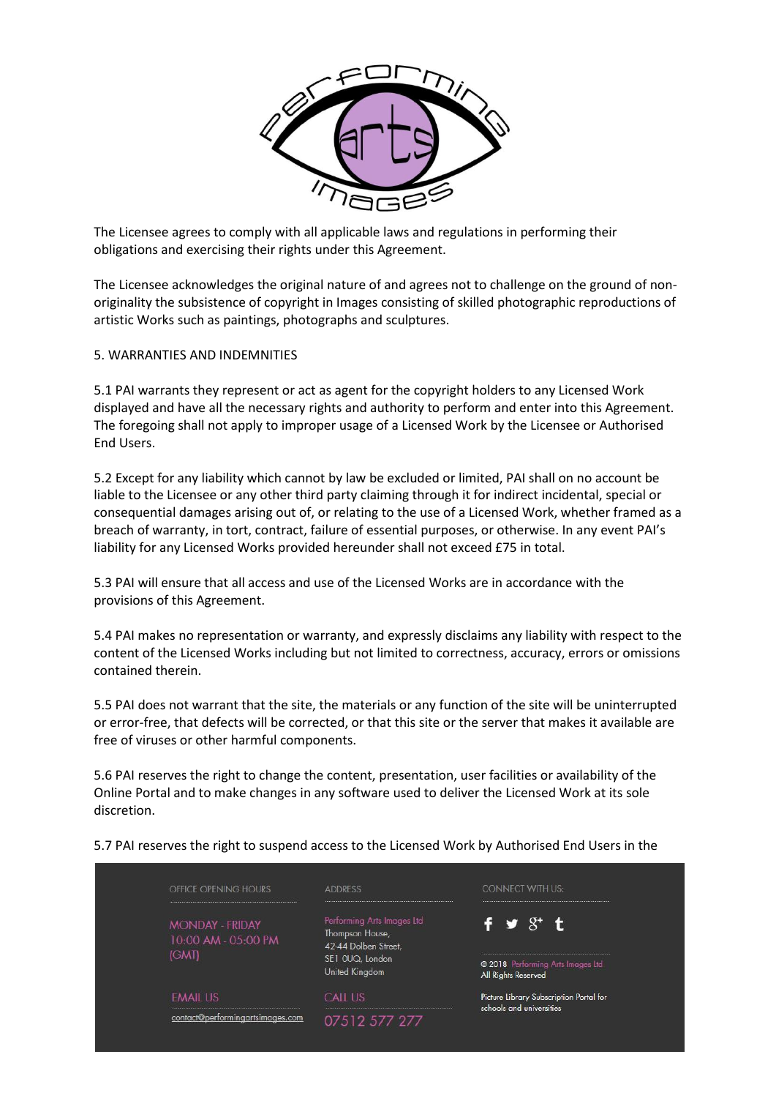

The Licensee agrees to comply with all applicable laws and regulations in performing their obligations and exercising their rights under this Agreement.

The Licensee acknowledges the original nature of and agrees not to challenge on the ground of nonoriginality the subsistence of copyright in Images consisting of skilled photographic reproductions of artistic Works such as paintings, photographs and sculptures.

### 5. WARRANTIES AND INDEMNITIES

5.1 PAI warrants they represent or act as agent for the copyright holders to any Licensed Work displayed and have all the necessary rights and authority to perform and enter into this Agreement. The foregoing shall not apply to improper usage of a Licensed Work by the Licensee or Authorised End Users.

5.2 Except for any liability which cannot by law be excluded or limited, PAI shall on no account be liable to the Licensee or any other third party claiming through it for indirect incidental, special or consequential damages arising out of, or relating to the use of a Licensed Work, whether framed as a breach of warranty, in tort, contract, failure of essential purposes, or otherwise. In any event PAI's liability for any Licensed Works provided hereunder shall not exceed £75 in total.

5.3 PAI will ensure that all access and use of the Licensed Works are in accordance with the provisions of this Agreement.

5.4 PAI makes no representation or warranty, and expressly disclaims any liability with respect to the content of the Licensed Works including but not limited to correctness, accuracy, errors or omissions contained therein.

5.5 PAI does not warrant that the site, the materials or any function of the site will be uninterrupted or error-free, that defects will be corrected, or that this site or the server that makes it available are free of viruses or other harmful components.

5.6 PAI reserves the right to change the content, presentation, user facilities or availability of the Online Portal and to make changes in any software used to deliver the Licensed Work at its sole discretion.

| OFFICE OPENING HOURS                                   | <b>ADDRESS</b>                                                                                             | <b>CONNECT WITH US:</b>                                                   |
|--------------------------------------------------------|------------------------------------------------------------------------------------------------------------|---------------------------------------------------------------------------|
| <b>MONDAY - FRIDAY</b><br>10:00 AM - 05:00 PM<br>(GMT) | Performing Arts Images Ltd<br>Thompson House,<br>42-44 Dolben Street,<br>SE1 OUQ, London<br>United Kingdom | $f \times S'$ t<br>2018 Performing Arts Images Ltd<br>All Rights Reserved |
| <b>EMAIL US</b>                                        | <b>CALL US</b>                                                                                             | Picture Library Subscription Portal for<br>schools and universities       |
| contact@performingartsimages.com                       | 07512 577 277                                                                                              |                                                                           |

5.7 PAI reserves the right to suspend access to the Licensed Work by Authorised End Users in the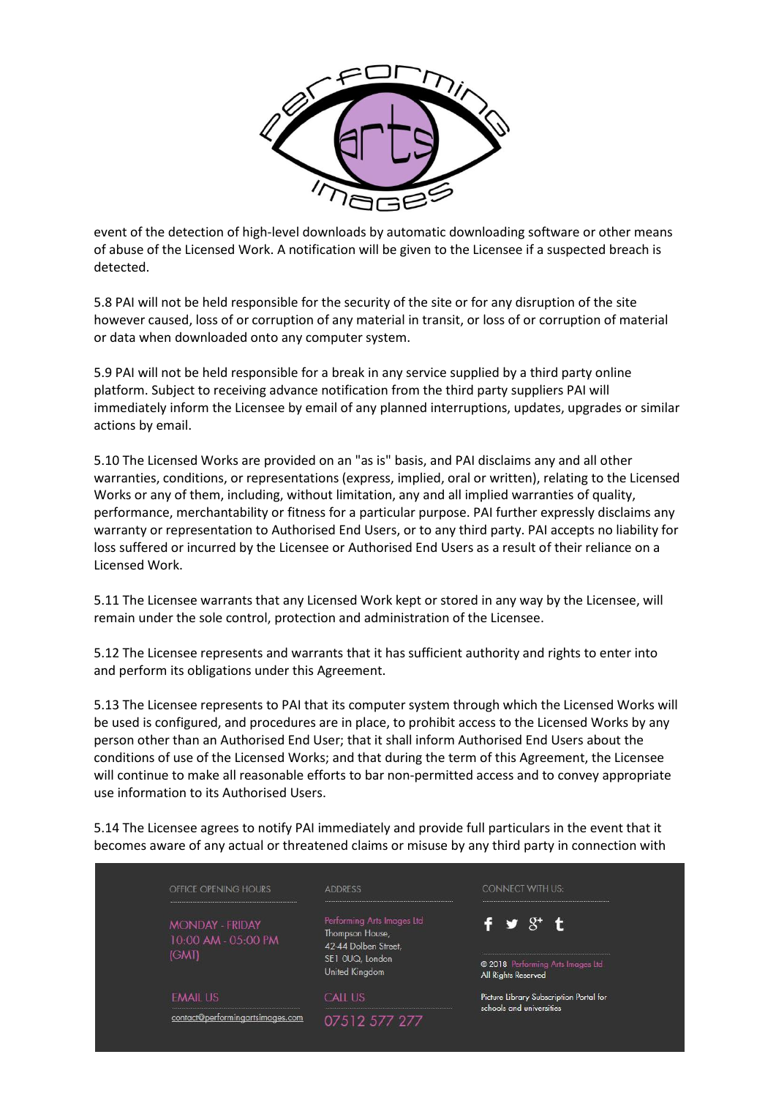

event of the detection of high-level downloads by automatic downloading software or other means of abuse of the Licensed Work. A notification will be given to the Licensee if a suspected breach is detected.

5.8 PAI will not be held responsible for the security of the site or for any disruption of the site however caused, loss of or corruption of any material in transit, or loss of or corruption of material or data when downloaded onto any computer system.

5.9 PAI will not be held responsible for a break in any service supplied by a third party online platform. Subject to receiving advance notification from the third party suppliers PAI will immediately inform the Licensee by email of any planned interruptions, updates, upgrades or similar actions by email.

5.10 The Licensed Works are provided on an "as is" basis, and PAI disclaims any and all other warranties, conditions, or representations (express, implied, oral or written), relating to the Licensed Works or any of them, including, without limitation, any and all implied warranties of quality, performance, merchantability or fitness for a particular purpose. PAI further expressly disclaims any warranty or representation to Authorised End Users, or to any third party. PAI accepts no liability for loss suffered or incurred by the Licensee or Authorised End Users as a result of their reliance on a Licensed Work.

5.11 The Licensee warrants that any Licensed Work kept or stored in any way by the Licensee, will remain under the sole control, protection and administration of the Licensee.

5.12 The Licensee represents and warrants that it has sufficient authority and rights to enter into and perform its obligations under this Agreement.

5.13 The Licensee represents to PAI that its computer system through which the Licensed Works will be used is configured, and procedures are in place, to prohibit access to the Licensed Works by any person other than an Authorised End User; that it shall inform Authorised End Users about the conditions of use of the Licensed Works; and that during the term of this Agreement, the Licensee will continue to make all reasonable efforts to bar non-permitted access and to convey appropriate use information to its Authorised Users.

5.14 The Licensee agrees to notify PAI immediately and provide full particulars in the event that it becomes aware of any actual or threatened claims or misuse by any third party in connection with

| OFFICE OPENING HOURS                                   | <b>ADDRESS</b>                                                                                             | <b>CONNECT WITH US:</b>                                                             |
|--------------------------------------------------------|------------------------------------------------------------------------------------------------------------|-------------------------------------------------------------------------------------|
| <b>MONDAY - FRIDAY</b><br>10:00 AM - 05:00 PM<br>(GMT) | Performing Arts Images Ltd<br>Thompson House,<br>42-44 Dolben Street,<br>SE1 OUQ, London<br>United Kingdom | f $\bullet$ $8^{\circ}$ t<br>2018 Performing Arts Images Ltd<br>All Rights Reserved |
| <b>EMAIL US</b>                                        | <b>CALL US</b>                                                                                             | Picture Library Subscription Portal for<br>schools and universities                 |
| contact@performingartsimages.com                       | 07512 577 277                                                                                              |                                                                                     |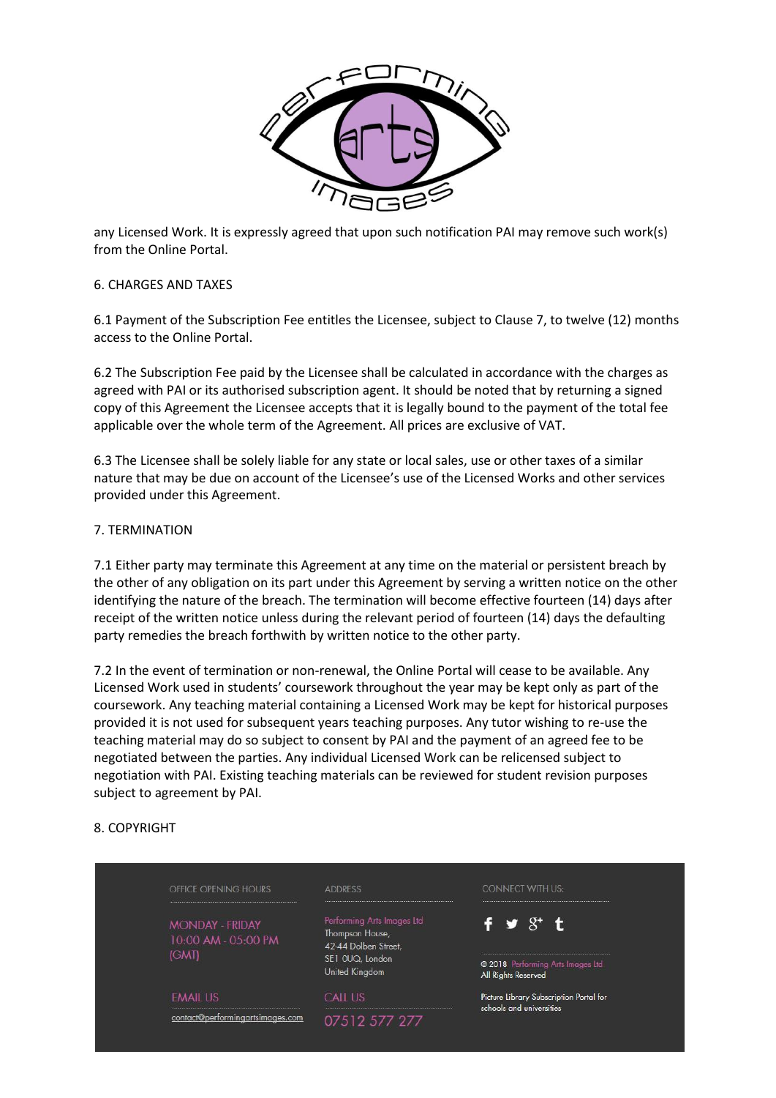

any Licensed Work. It is expressly agreed that upon such notification PAI may remove such work(s) from the Online Portal.

### 6. CHARGES AND TAXES

6.1 Payment of the Subscription Fee entitles the Licensee, subject to Clause 7, to twelve (12) months access to the Online Portal.

6.2 The Subscription Fee paid by the Licensee shall be calculated in accordance with the charges as agreed with PAI or its authorised subscription agent. It should be noted that by returning a signed copy of this Agreement the Licensee accepts that it is legally bound to the payment of the total fee applicable over the whole term of the Agreement. All prices are exclusive of VAT.

6.3 The Licensee shall be solely liable for any state or local sales, use or other taxes of a similar nature that may be due on account of the Licensee's use of the Licensed Works and other services provided under this Agreement.

### 7. TERMINATION

7.1 Either party may terminate this Agreement at any time on the material or persistent breach by the other of any obligation on its part under this Agreement by serving a written notice on the other identifying the nature of the breach. The termination will become effective fourteen (14) days after receipt of the written notice unless during the relevant period of fourteen (14) days the defaulting party remedies the breach forthwith by written notice to the other party.

7.2 In the event of termination or non-renewal, the Online Portal will cease to be available. Any Licensed Work used in students' coursework throughout the year may be kept only as part of the coursework. Any teaching material containing a Licensed Work may be kept for historical purposes provided it is not used for subsequent years teaching purposes. Any tutor wishing to re-use the teaching material may do so subject to consent by PAI and the payment of an agreed fee to be negotiated between the parties. Any individual Licensed Work can be relicensed subject to negotiation with PAI. Existing teaching materials can be reviewed for student revision purposes subject to agreement by PAI.

### 8. COPYRIGHT

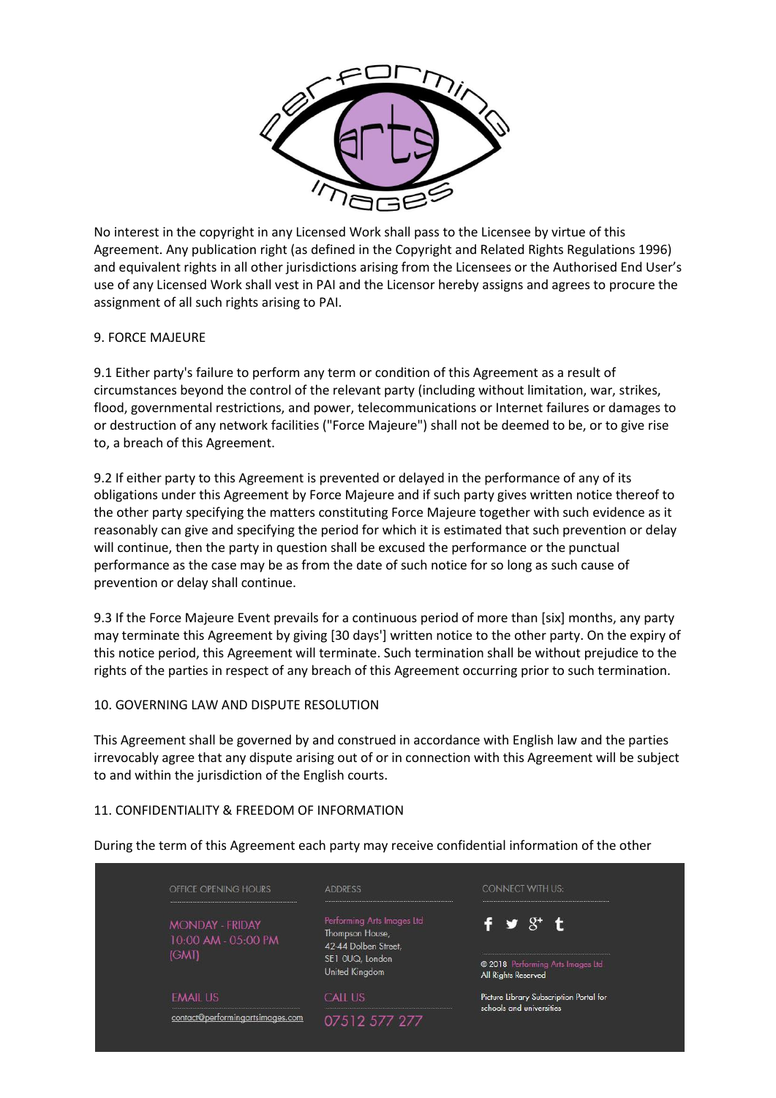

No interest in the copyright in any Licensed Work shall pass to the Licensee by virtue of this Agreement. Any publication right (as defined in the Copyright and Related Rights Regulations 1996) and equivalent rights in all other jurisdictions arising from the Licensees or the Authorised End User's use of any Licensed Work shall vest in PAI and the Licensor hereby assigns and agrees to procure the assignment of all such rights arising to PAI.

# 9. FORCE MAJEURE

9.1 Either party's failure to perform any term or condition of this Agreement as a result of circumstances beyond the control of the relevant party (including without limitation, war, strikes, flood, governmental restrictions, and power, telecommunications or Internet failures or damages to or destruction of any network facilities ("Force Majeure") shall not be deemed to be, or to give rise to, a breach of this Agreement.

9.2 If either party to this Agreement is prevented or delayed in the performance of any of its obligations under this Agreement by Force Majeure and if such party gives written notice thereof to the other party specifying the matters constituting Force Majeure together with such evidence as it reasonably can give and specifying the period for which it is estimated that such prevention or delay will continue, then the party in question shall be excused the performance or the punctual performance as the case may be as from the date of such notice for so long as such cause of prevention or delay shall continue.

9.3 If the Force Majeure Event prevails for a continuous period of more than [six] months, any party may terminate this Agreement by giving [30 days'] written notice to the other party. On the expiry of this notice period, this Agreement will terminate. Such termination shall be without prejudice to the rights of the parties in respect of any breach of this Agreement occurring prior to such termination.

### 10. GOVERNING LAW AND DISPUTE RESOLUTION

This Agreement shall be governed by and construed in accordance with English law and the parties irrevocably agree that any dispute arising out of or in connection with this Agreement will be subject to and within the jurisdiction of the English courts.

### 11. CONFIDENTIALITY & FREEDOM OF INFORMATION

| OFFICE OPENING HOURS                                         | <b>ADDRESS</b>                                                                                                    | <b>CONNECT WITH US:</b>                                                   |
|--------------------------------------------------------------|-------------------------------------------------------------------------------------------------------------------|---------------------------------------------------------------------------|
| <b>MONDAY - FRIDAY</b><br>10:00 AM - 05:00 PM<br><b>IGMT</b> | Performing Arts Images Ltd<br>Thompson House,<br>42-44 Dolben Street,<br>SE1 OUQ, London<br><b>United Kingdom</b> | $f \times S'$ t<br>2018 Performing Arts Images Ltd<br>All Rights Reserved |
| <b>EMAIL US</b>                                              | <b>CALL US</b>                                                                                                    | Picture Library Subscription Portal for<br>schools and universities       |
| contact@performingartsimages.com                             | 07512 577 277                                                                                                     |                                                                           |

During the term of this Agreement each party may receive confidential information of the other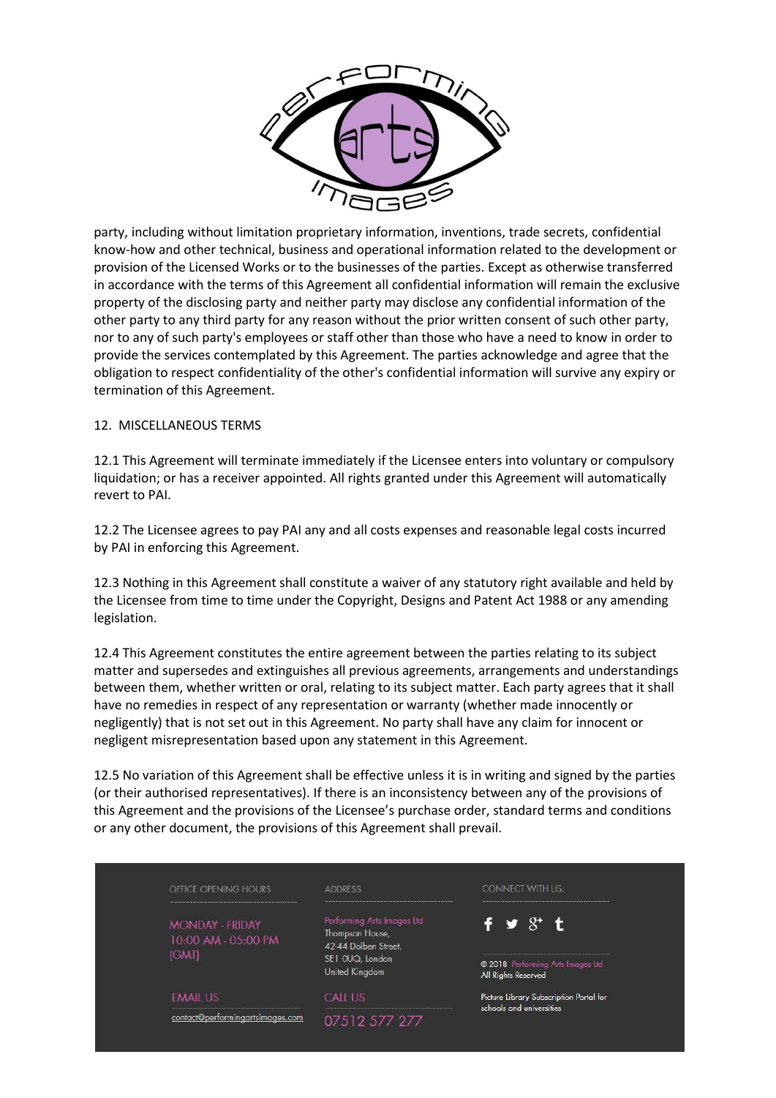

party, including without limitation proprietary information, inventions, trade secrets, confidential know-how and other technical, business and operational information related to the development or provision of the Licensed Works or to the businesses of the parties. Except as otherwise transferred in accordance with the terms of this Agreement all confidential information will remain the exclusive property of the disclosing party and neither party may disclose any confidential information of the other party to any third party for any reason without the prior written consent of such other party, nor to any of such party's employees or staff other than those who have a need to know in order to provide the services contemplated by this Agreement. The parties acknowledge and agree that the obligation to respect confidentiality of the other's confidential information will survive any expiry or termination of this Agreement.

# 12. MISCELLANEOUS TERMS

12.1 This Agreement will terminate immediately if the Licensee enters into voluntary or compulsory liquidation; or has a receiver appointed. All rights granted under this Agreement will automatically revert to PAI.

12.2 The Licensee agrees to pay PAI any and all costs expenses and reasonable legal costs incurred by PAI in enforcing this Agreement.

12.3 Nothing in this Agreement shall constitute a waiver of any statutory right available and held by the Licensee from time to time under the Copyright, Designs and Patent Act 1988 or any amending legislation.

12.4 This Agreement constitutes the entire agreement between the parties relating to its subject matter and supersedes and extinguishes all previous agreements, arrangements and understandings between them, whether written or oral, relating to its subject matter. Each party agrees that it shall have no remedies in respect of any representation or warranty (whether made innocently or negligently) that is not set out in this Agreement. No party shall have any claim for innocent or negligent misrepresentation based upon any statement in this Agreement.

12.5 No variation of this Agreement shall be effective unless it is in writing and signed by the parties (or their authorised representatives). If there is an inconsistency between any of the provisions of this Agreement and the provisions of the Licensee's purchase order, standard terms and conditions or any other document, the provisions of this Agreement shall prevail.

| OFFICE OPENING HOURS                                   | <b>ADDRESS</b>                                                                                             | <b>CONNECT WITH US:</b>                                               |
|--------------------------------------------------------|------------------------------------------------------------------------------------------------------------|-----------------------------------------------------------------------|
| <b>MONDAY - FRIDAY</b><br>10:00 AM - 05:00 PM<br>(GMT) | Performing Arts Images Ltd<br>Thompson House,<br>42-44 Dolben Street,<br>SE1 OUQ, London<br>United Kingdom | f y $8^+$ t<br>2018 Performing Arts Images Ltd<br>All Rights Reserved |
| <b>EMAIL US</b>                                        | <b>CALL US</b>                                                                                             | Picture Library Subscription Portal for                               |